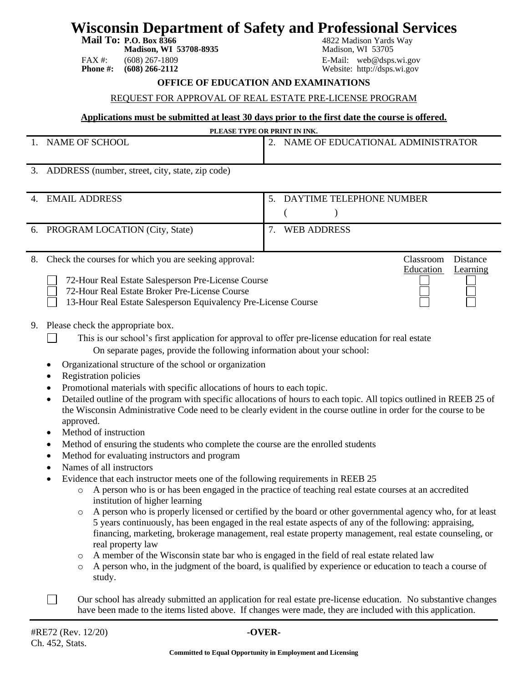## **Wisconsin Department of Safety and Professional Services**

**Madison, WI 53708-8935** Madison, WI 53705

FAX #: (608) 267-1809<br> **Phone #: (608) 266-2112** E-Mail: web@dsps.wi.gov<br>
Website: http://dsps.wi.gov

**Mail To: P.O. Box 8366** 4822 Madison Yards Way<br> **Madison, WI 53708-8935** 4822 Madison, WI 53705

Education Learning

Website: http://dsps.wi.gov

#### **OFFICE OF EDUCATION AND EXAMINATIONS**

#### REQUEST FOR APPROVAL OF REAL ESTATE PRE-LICENSE PROGRAM

#### **Applications must be submitted at least 30 days prior to the first date the course is offered.**

| PLEASE TYPE OR PRINT IN INK. |                                   |  |  |  |  |
|------------------------------|-----------------------------------|--|--|--|--|
| NAME OF SCHOOL               | NAME OF EDUCATIONAL ADMINISTRATOR |  |  |  |  |

3. ADDRESS (number, street, city, state, zip code)

| 4. | <b>EMAIL ADDRESS</b>                                                            | 5. | DAYTIME TELEPHONE NUMBER |
|----|---------------------------------------------------------------------------------|----|--------------------------|
|    | 6. PROGRAM LOCATION (City, State)                                               |    | WEB ADDRESS              |
|    | $\sim$ $\sim$ $\sim$ $\sim$ $\sim$ $\sim$<br>$\sim$ $\sim$ $\sim$ $\sim$ $\sim$ |    | $\sim$<br>$\blacksquare$ |

8. Check the courses for which you are seeking approval: Classroom Distance

72-Hour Real Estate Broker Pre-License Course

13-Hour Real Estate Salesperson Equivalency Pre-License Course

- 9. Please check the appropriate box.
	- This is our school's first application for approval to offer pre-license education for real estate On separate pages, provide the following information about your school:
	- Organizational structure of the school or organization
	- Registration policies

 $\perp$ 

- Promotional materials with specific allocations of hours to each topic.
- Detailed outline of the program with specific allocations of hours to each topic. All topics outlined in REEB 25 of the Wisconsin Administrative Code need to be clearly evident in the course outline in order for the course to be approved.
- Method of instruction
- Method of ensuring the students who complete the course are the enrolled students
- Method for evaluating instructors and program
- Names of all instructors
- Evidence that each instructor meets one of the following requirements in REEB 25
	- o A person who is or has been engaged in the practice of teaching real estate courses at an accredited institution of higher learning
	- o A person who is properly licensed or certified by the board or other governmental agency who, for at least 5 years continuously, has been engaged in the real estate aspects of any of the following: appraising, financing, marketing, brokerage management, real estate property management, real estate counseling, or real property law
	- o A member of the Wisconsin state bar who is engaged in the field of real estate related law
	- o A person who, in the judgment of the board, is qualified by experience or education to teach a course of study.
- $\Box$ Our school has already submitted an application for real estate pre-license education. No substantive changes have been made to the items listed above. If changes were made, they are included with this application.